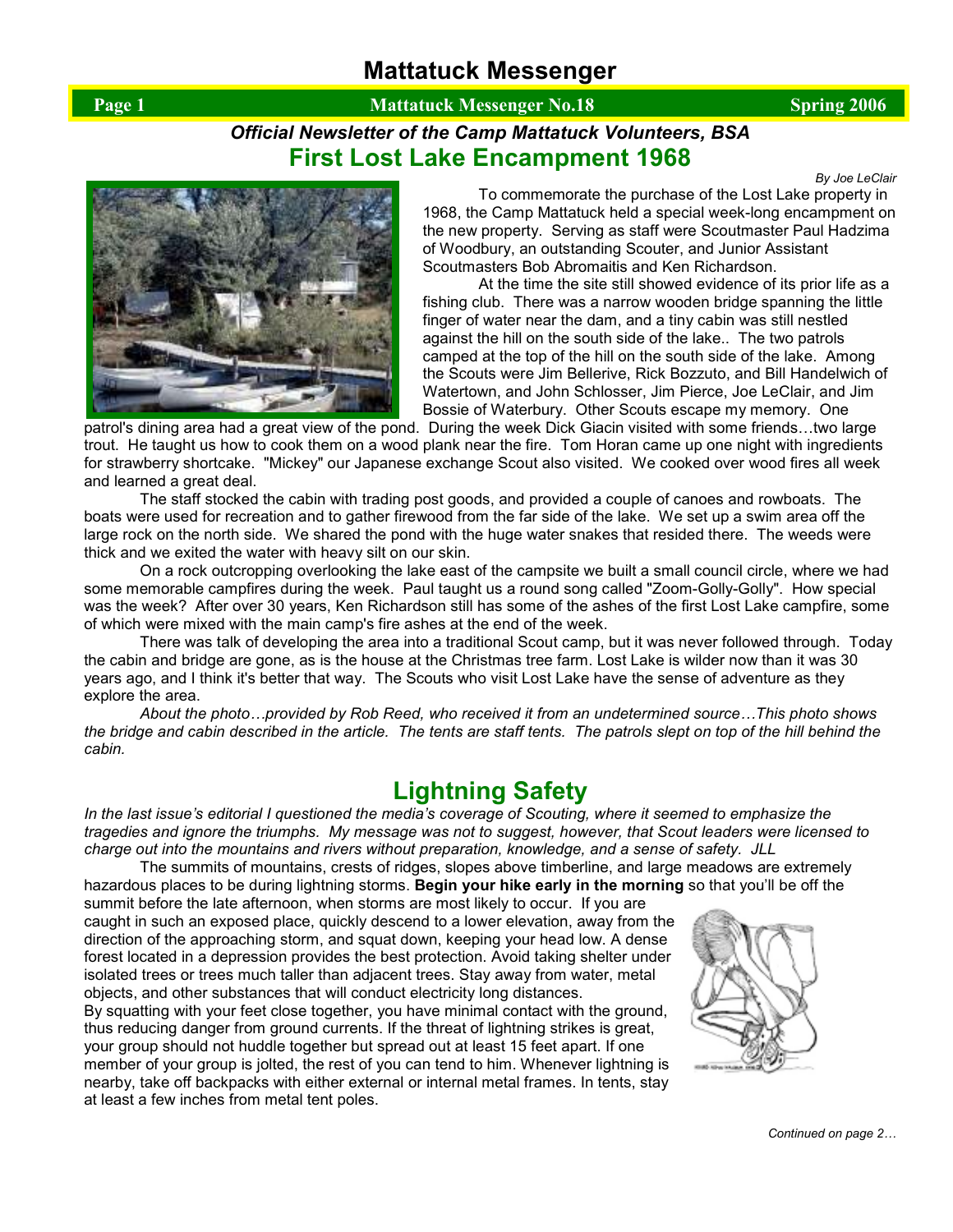#### Mattatuck Messenger

Page 1 Mattatuck Messenger No.18 Spring 2006

#### Official Newsletter of the Camp Mattatuck Volunteers, BSA First Lost Lake Encampment 1968

By Joe LeClair



To commemorate the purchase of the Lost Lake property in 1968, the Camp Mattatuck held a special week-long encampment on the new property. Serving as staff were Scoutmaster Paul Hadzima of Woodbury, an outstanding Scouter, and Junior Assistant Scoutmasters Bob Abromaitis and Ken Richardson.

At the time the site still showed evidence of its prior life as a fishing club. There was a narrow wooden bridge spanning the little finger of water near the dam, and a tiny cabin was still nestled against the hill on the south side of the lake.. The two patrols camped at the top of the hill on the south side of the lake. Among the Scouts were Jim Bellerive, Rick Bozzuto, and Bill Handelwich of Watertown, and John Schlosser, Jim Pierce, Joe LeClair, and Jim Bossie of Waterbury. Other Scouts escape my memory. One

patrol's dining area had a great view of the pond. During the week Dick Giacin visited with some friends…two large trout. He taught us how to cook them on a wood plank near the fire. Tom Horan came up one night with ingredients for strawberry shortcake. "Mickey" our Japanese exchange Scout also visited. We cooked over wood fires all week and learned a great deal.

The staff stocked the cabin with trading post goods, and provided a couple of canoes and rowboats. The boats were used for recreation and to gather firewood from the far side of the lake. We set up a swim area off the large rock on the north side. We shared the pond with the huge water snakes that resided there. The weeds were thick and we exited the water with heavy silt on our skin.

On a rock outcropping overlooking the lake east of the campsite we built a small council circle, where we had some memorable campfires during the week. Paul taught us a round song called "Zoom-Golly-Golly". How special was the week? After over 30 years, Ken Richardson still has some of the ashes of the first Lost Lake campfire, some of which were mixed with the main camp's fire ashes at the end of the week.

There was talk of developing the area into a traditional Scout camp, but it was never followed through. Today the cabin and bridge are gone, as is the house at the Christmas tree farm. Lost Lake is wilder now than it was 30 years ago, and I think it's better that way. The Scouts who visit Lost Lake have the sense of adventure as they explore the area.

About the photo…provided by Rob Reed, who received it from an undetermined source…This photo shows the bridge and cabin described in the article. The tents are staff tents. The patrols slept on top of the hill behind the cabin.

## Lightning Safety

In the last issue's editorial I questioned the media's coverage of Scouting, where it seemed to emphasize the tragedies and ignore the triumphs. My message was not to suggest, however, that Scout leaders were licensed to charge out into the mountains and rivers without preparation, knowledge, and a sense of safety. JLL

The summits of mountains, crests of ridges, slopes above timberline, and large meadows are extremely hazardous places to be during lightning storms. Begin your hike early in the morning so that you'll be off the

summit before the late afternoon, when storms are most likely to occur. If you are caught in such an exposed place, quickly descend to a lower elevation, away from the direction of the approaching storm, and squat down, keeping your head low. A dense forest located in a depression provides the best protection. Avoid taking shelter under isolated trees or trees much taller than adjacent trees. Stay away from water, metal objects, and other substances that will conduct electricity long distances.

By squatting with your feet close together, you have minimal contact with the ground, thus reducing danger from ground currents. If the threat of lightning strikes is great, your group should not huddle together but spread out at least 15 feet apart. If one member of your group is jolted, the rest of you can tend to him. Whenever lightning is nearby, take off backpacks with either external or internal metal frames. In tents, stay at least a few inches from metal tent poles.

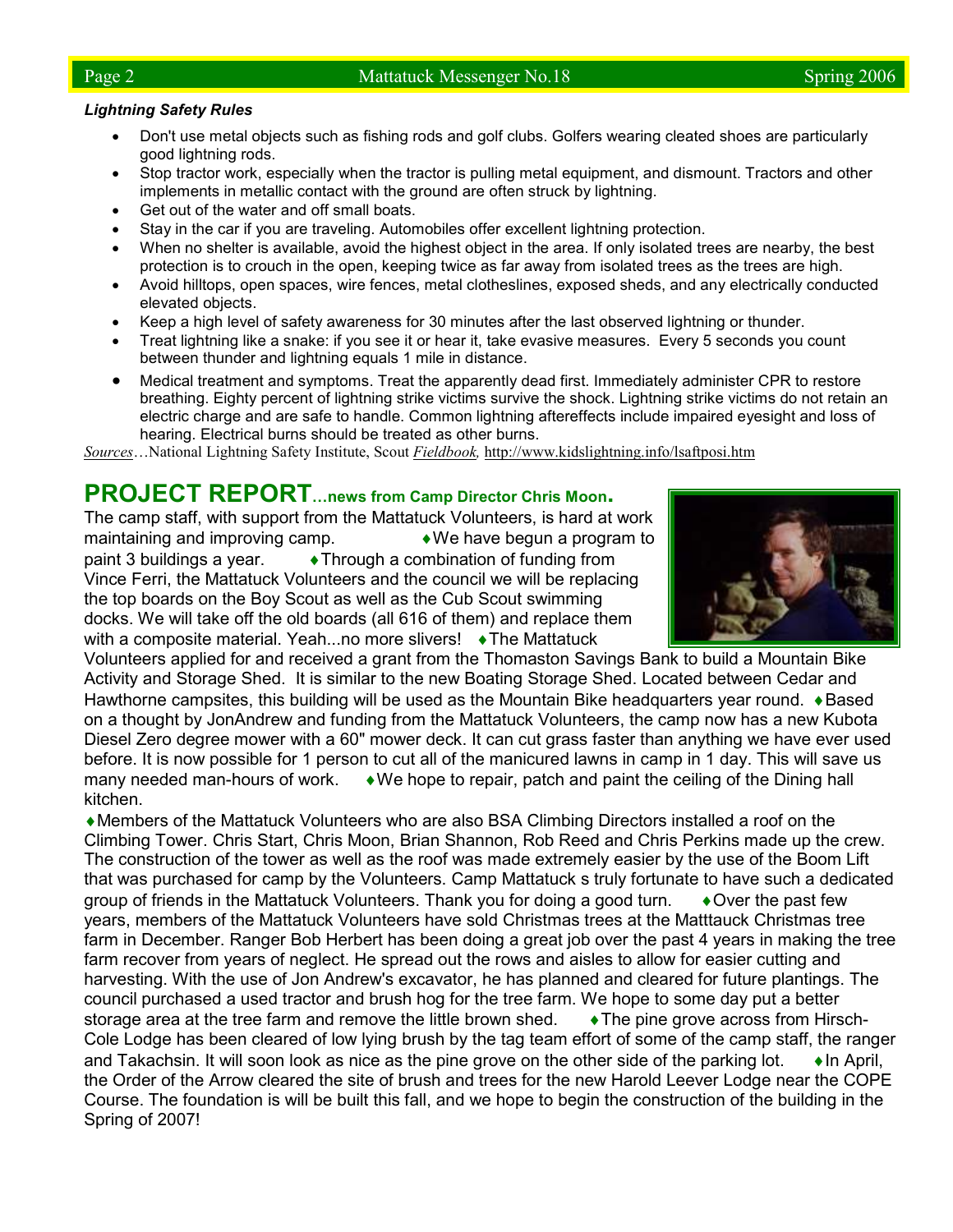#### Lightning Safety Rules

- Don't use metal objects such as fishing rods and golf clubs. Golfers wearing cleated shoes are particularly good lightning rods.
- Stop tractor work, especially when the tractor is pulling metal equipment, and dismount. Tractors and other implements in metallic contact with the ground are often struck by lightning.
- Get out of the water and off small boats.
- Stay in the car if you are traveling. Automobiles offer excellent lightning protection.
- When no shelter is available, avoid the highest object in the area. If only isolated trees are nearby, the best protection is to crouch in the open, keeping twice as far away from isolated trees as the trees are high.
- Avoid hilltops, open spaces, wire fences, metal clotheslines, exposed sheds, and any electrically conducted elevated objects.
- Keep a high level of safety awareness for 30 minutes after the last observed lightning or thunder.
- Treat lightning like a snake: if you see it or hear it, take evasive measures. Every 5 seconds you count between thunder and lightning equals 1 mile in distance.
- Medical treatment and symptoms. Treat the apparently dead first. Immediately administer CPR to restore breathing. Eighty percent of lightning strike victims survive the shock. Lightning strike victims do not retain an electric charge and are safe to handle. Common lightning aftereffects include impaired eyesight and loss of hearing. Electrical burns should be treated as other burns.

Sources…National Lightning Safety Institute, Scout Fieldbook, http://www.kidslightning.info/lsaftposi.htm

# PROJECT REPORT…news from Camp Director Chris Moon.

The camp staff, with support from the Mattatuck Volunteers, is hard at work maintaining and improving camp. ♦ • We have begun a program to paint 3 buildings a year.  $\bullet$  Through a combination of funding from Vince Ferri, the Mattatuck Volunteers and the council we will be replacing the top boards on the Boy Scout as well as the Cub Scout swimming docks. We will take off the old boards (all 616 of them) and replace them with a composite material. Yeah...no more slivers! ◆ The Mattatuck



Volunteers applied for and received a grant from the Thomaston Savings Bank to build a Mountain Bike Activity and Storage Shed. It is similar to the new Boating Storage Shed. Located between Cedar and Hawthorne campsites, this building will be used as the Mountain Bike headquarters year round. ◆Based on a thought by JonAndrew and funding from the Mattatuck Volunteers, the camp now has a new Kubota Diesel Zero degree mower with a 60" mower deck. It can cut grass faster than anything we have ever used before. It is now possible for 1 person to cut all of the manicured lawns in camp in 1 day. This will save us many needed man-hours of work.  $\bullet$  We hope to repair, patch and paint the ceiling of the Dining hall kitchen.

♦Members of the Mattatuck Volunteers who are also BSA Climbing Directors installed a roof on the Climbing Tower. Chris Start, Chris Moon, Brian Shannon, Rob Reed and Chris Perkins made up the crew. The construction of the tower as well as the roof was made extremely easier by the use of the Boom Lift that was purchased for camp by the Volunteers. Camp Mattatuck s truly fortunate to have such a dedicated group of friends in the Mattatuck Volunteers. Thank you for doing a good turn.  $\bullet$  Over the past few years, members of the Mattatuck Volunteers have sold Christmas trees at the Matttauck Christmas tree farm in December. Ranger Bob Herbert has been doing a great job over the past 4 years in making the tree farm recover from years of neglect. He spread out the rows and aisles to allow for easier cutting and harvesting. With the use of Jon Andrew's excavator, he has planned and cleared for future plantings. The council purchased a used tractor and brush hog for the tree farm. We hope to some day put a better storage area at the tree farm and remove the little brown shed.  $\bullet$  The pine grove across from Hirsch-Cole Lodge has been cleared of low lying brush by the tag team effort of some of the camp staff, the ranger and Takachsin. It will soon look as nice as the pine grove on the other side of the parking lot.  $\bullet$  In April, the Order of the Arrow cleared the site of brush and trees for the new Harold Leever Lodge near the COPE Course. The foundation is will be built this fall, and we hope to begin the construction of the building in the Spring of 2007!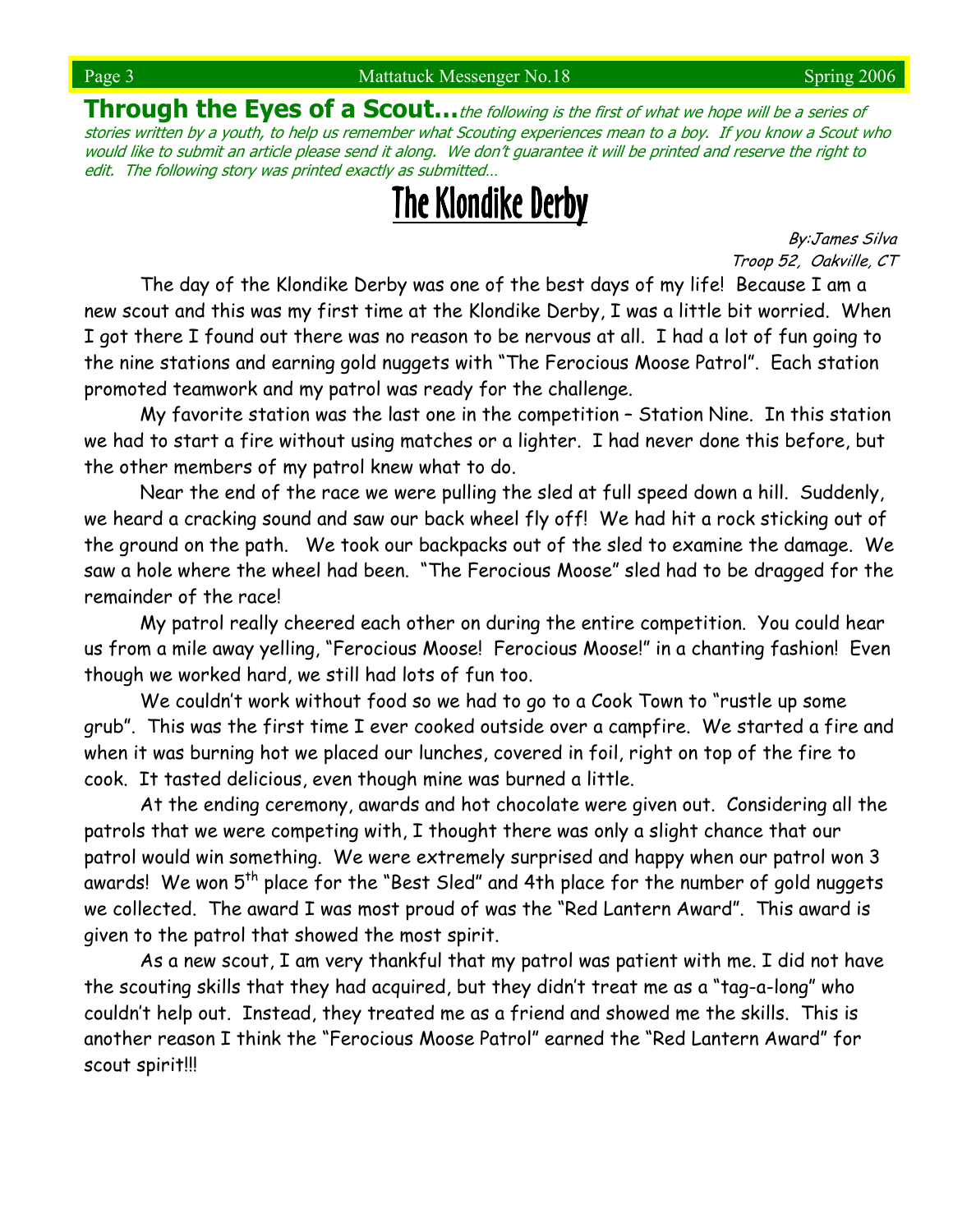Through the Eyes of a Scout...the following is the first of what we hope will be a series of stories written by a youth, to help us remember what Scouting experiences mean to a boy. If you know a Scout who would like to submit an article please send it along. We don't guarantee it will be printed and reserve the right to edit. The following story was printed exactly as submitted…

# The Klondike Derby

By:James Silva Troop 52, Oakville, CT

The day of the Klondike Derby was one of the best days of my life! Because I am a new scout and this was my first time at the Klondike Derby, I was a little bit worried. When I got there I found out there was no reason to be nervous at all. I had a lot of fun going to the nine stations and earning gold nuggets with "The Ferocious Moose Patrol". Each station promoted teamwork and my patrol was ready for the challenge.

My favorite station was the last one in the competition – Station Nine. In this station we had to start a fire without using matches or a lighter. I had never done this before, but the other members of my patrol knew what to do.

Near the end of the race we were pulling the sled at full speed down a hill. Suddenly, we heard a cracking sound and saw our back wheel fly off! We had hit a rock sticking out of the ground on the path. We took our backpacks out of the sled to examine the damage. We saw a hole where the wheel had been. "The Ferocious Moose" sled had to be dragged for the remainder of the race!

My patrol really cheered each other on during the entire competition. You could hear us from a mile away yelling, "Ferocious Moose! Ferocious Moose!" in a chanting fashion! Even though we worked hard, we still had lots of fun too.

We couldn't work without food so we had to go to a Cook Town to "rustle up some grub". This was the first time I ever cooked outside over a campfire. We started a fire and when it was burning hot we placed our lunches, covered in foil, right on top of the fire to cook. It tasted delicious, even though mine was burned a little.

At the ending ceremony, awards and hot chocolate were given out. Considering all the patrols that we were competing with, I thought there was only a slight chance that our patrol would win something. We were extremely surprised and happy when our patrol won 3 awards! We won 5<sup>th</sup> place for the "Best Sled" and 4th place for the number of gold nuggets we collected. The award I was most proud of was the "Red Lantern Award". This award is given to the patrol that showed the most spirit.

As a new scout, I am very thankful that my patrol was patient with me. I did not have the scouting skills that they had acquired, but they didn't treat me as a "tag-a-long" who couldn't help out. Instead, they treated me as a friend and showed me the skills. This is another reason I think the "Ferocious Moose Patrol" earned the "Red Lantern Award" for scout spirit!!!